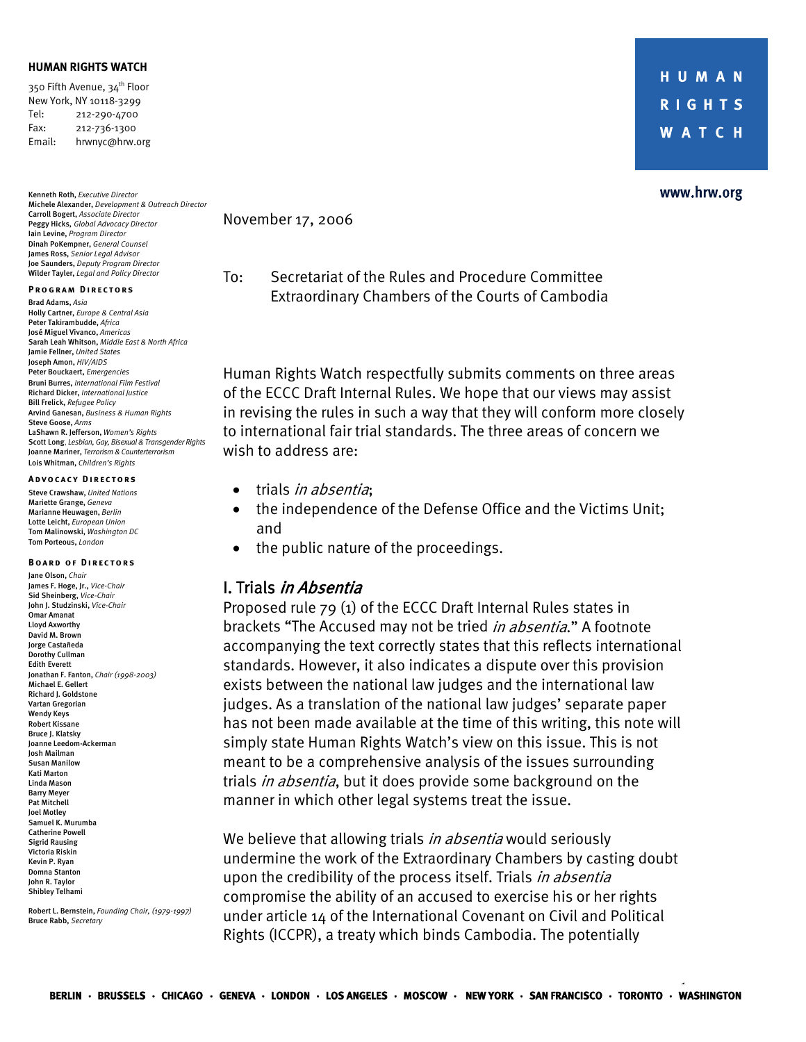#### **HUMAN RIGHTS WATCH**

350 Fifth Avenue, 34<sup>th</sup> Floor New York, NY 10118-3299 Tel: 212-290-4700 Fax: 212-736-1300 Email: hrwnyc@hrw.org

Kenneth Roth, *Executive Director* Michele Alexander, *Development & Outreach Director* Carroll Bogert, *Associate Director*  Peggy Hicks, *Global Advocacy Director*  Iain Levine, *Program Director*  Dinah PoKempner, *General Counsel*  James Ross, *Senior Legal Advisor* Joe Saunders, *Deputy Program Director*  Wilder Tayler, *Legal and Policy Director* 

#### **Program Directors**

Brad Adams, *Asia*  Holly Cartner, *Europe & Central Asia*  Peter Takirambudde, *Africa*  José Miguel Vivanco, *Americas* Sarah Leah Whitson, *Middle East & North Africa*  Jamie Fellner, *United States* Joseph Amon, *HIV/AIDS*  Peter Bouckaert, *Emergencies* Bruni Burres, *International Film Festival*  Richard Dicker, *International Justice*  Bill Frelick, *Refugee Policy*  Arvind Ganesan, *Business & Human Rights*  Steve Goose, *Arms*  LaShawn R. Jefferson, *Women's Rights*  Scott Long, *Lesbian, Gay, Bisexual & Transgender Rights*  Joanne Mariner, *Terrorism & Counterterrorism* Lois Whitman, *Children's Rights*

#### **Advocacy Directors**

Steve Crawshaw, *United Nations*  Mariette Grange, *Geneva* Marianne Heuwagen, *Berlin*  Lotte Leicht, *European Union*  Tom Malinowski, *Washington DC*  Tom Porteous, *London* 

#### **Board of Directors**  Jane Olson, *Chair* James F. Hoge, Jr., *Vice-Chair* Sid Sheinberg, *Vice-Chair* John J. Studzinski, *Vice-Chair*

Omar Amanat Lloyd Axworthy David M. Brown Jorge Castañeda Dorothy Cullman Edith Everett Jonathan F. Fanton, *Chair (1998-2003)* Michael E. Gellert Richard J. Goldstone Vartan Gregorian Wendy Keys Robert Kissane Bruce J. Klatsky Joanne Leedom-Ackerman Josh Mailman Susan Manilow Kati Marton Linda Mason Barry Meyer Pat Mitchell Joel Motley Samuel K. Murumba Catherine Powell Sigrid Rausing Victoria Riskin Kevin P. Ryan Domna Stanton John R. Taylor Shibley Telhami

Robert L. Bernstein, *Founding Chair, (1979-1997)*  Bruce Rabb, *Secretary* 

HUMAN **RIGHTS WATCH** 

#### www.hrw.org

November 17, 2006

To: Secretariat of the Rules and Procedure Committee Extraordinary Chambers of the Courts of Cambodia

Human Rights Watch respectfully submits comments on three areas of the ECCC Draft Internal Rules. We hope that our views may assist in revising the rules in such a way that they will conform more closely to international fair trial standards. The three areas of concern we wish to address are:

- trials *in absentia*;
- the independence of the Defense Office and the Victims Unit; and
- the public nature of the proceedings.

### I. Trials in Absentia

Proposed rule 79 (1) of the ECCC Draft Internal Rules states in brackets "The Accused may not be tried *in absentia*." A footnote accompanying the text correctly states that this reflects international standards. However, it also indicates a dispute over this provision exists between the national law judges and the international law judges. As a translation of the national law judges' separate paper has not been made available at the time of this writing, this note will simply state Human Rights Watch's view on this issue. This is not meant to be a comprehensive analysis of the issues surrounding trials *in absentia*, but it does provide some background on the manner in which other legal systems treat the issue.

We believe that allowing trials in absentia would seriously undermine the work of the Extraordinary Chambers by casting doubt upon the credibility of the process itself. Trials *in absentia* compromise the ability of an accused to exercise his or her rights under article 14 of the International Covenant on Civil and Political Rights (ICCPR), a treaty which binds Cambodia. The potentially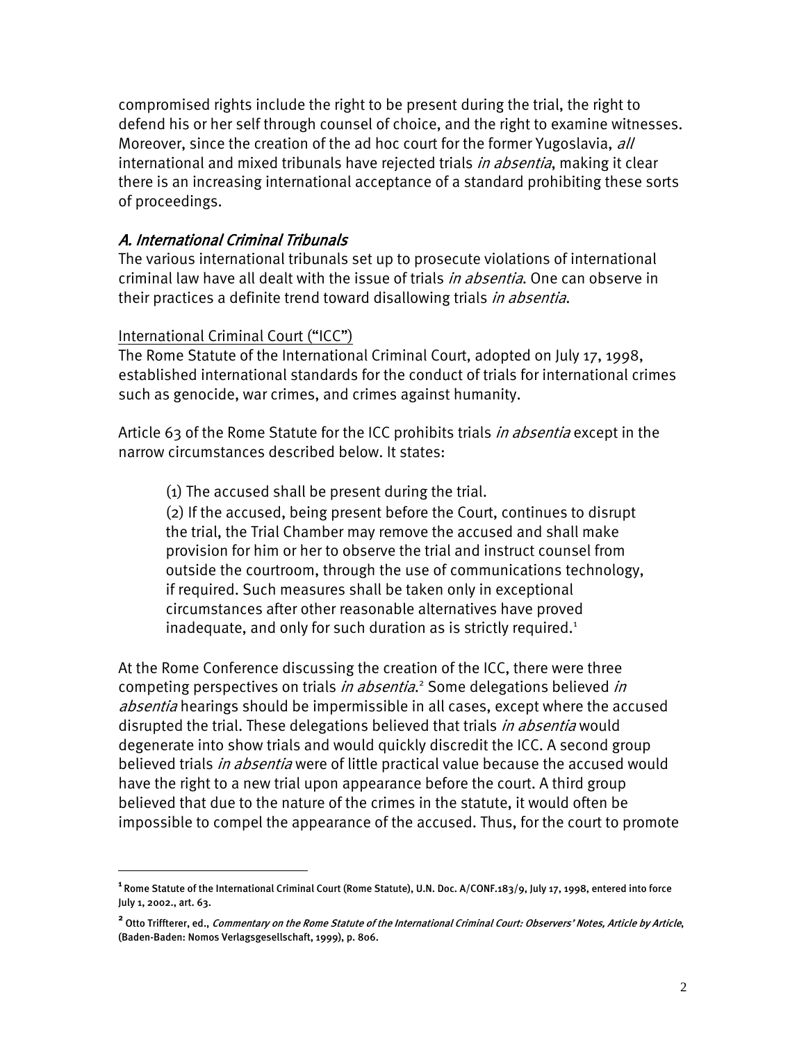compromised rights include the right to be present during the trial, the right to defend his or her self through counsel of choice, and the right to examine witnesses. Moreover, since the creation of the ad hoc court for the former Yugoslavia, all international and mixed tribunals have rejected trials *in absentia*, making it clear there is an increasing international acceptance of a standard prohibiting these sorts of proceedings.

# A. International Criminal Tribunals

The various international tribunals set up to prosecute violations of international criminal law have all dealt with the issue of trials *in absentia*. One can observe in their practices a definite trend toward disallowing trials *in absentia*.

## International Criminal Court ("ICC")

 $\overline{a}$ 

The Rome Statute of the International Criminal Court, adopted on July 17, 1998, established international standards for the conduct of trials for international crimes such as genocide, war crimes, and crimes against humanity.

Article 63 of the Rome Statute for the ICC prohibits trials *in absentia* except in the narrow circumstances described below. It states:

(1) The accused shall be present during the trial.

(2) If the accused, being present before the Court, continues to disrupt the trial, the Trial Chamber may remove the accused and shall make provision for him or her to observe the trial and instruct counsel from outside the courtroom, through the use of communications technology, if required. Such measures shall be taken only in exceptional circumstances after other reasonable alternatives have proved inadequate, and only for such duration as is strictly required. $1$ 

At the Rome Conference discussing the creation of the ICC, there were three competing perspectives on trials in absentia.<sup>2</sup> Some delegations believed in absentia hearings should be impermissible in all cases, except where the accused disrupted the trial. These delegations believed that trials in absentia would degenerate into show trials and would quickly discredit the ICC. A second group believed trials *in absentia* were of little practical value because the accused would have the right to a new trial upon appearance before the court. A third group believed that due to the nature of the crimes in the statute, it would often be impossible to compel the appearance of the accused. Thus, for the court to promote

**<sup>1</sup>**Rome Statute of the International Criminal Court (Rome Statute), U.N. Doc. A/CONF.183/9, July 17, 1998, entered into force July 1, 2002., art. 63.

<sup>&</sup>lt;sup>2</sup> Otto Triffterer, ed., *Commentary on the Rome Statute of the International Criminal Court: Observers' Notes, Article by Article,* (Baden-Baden: Nomos Verlagsgesellschaft, 1999), p. 806.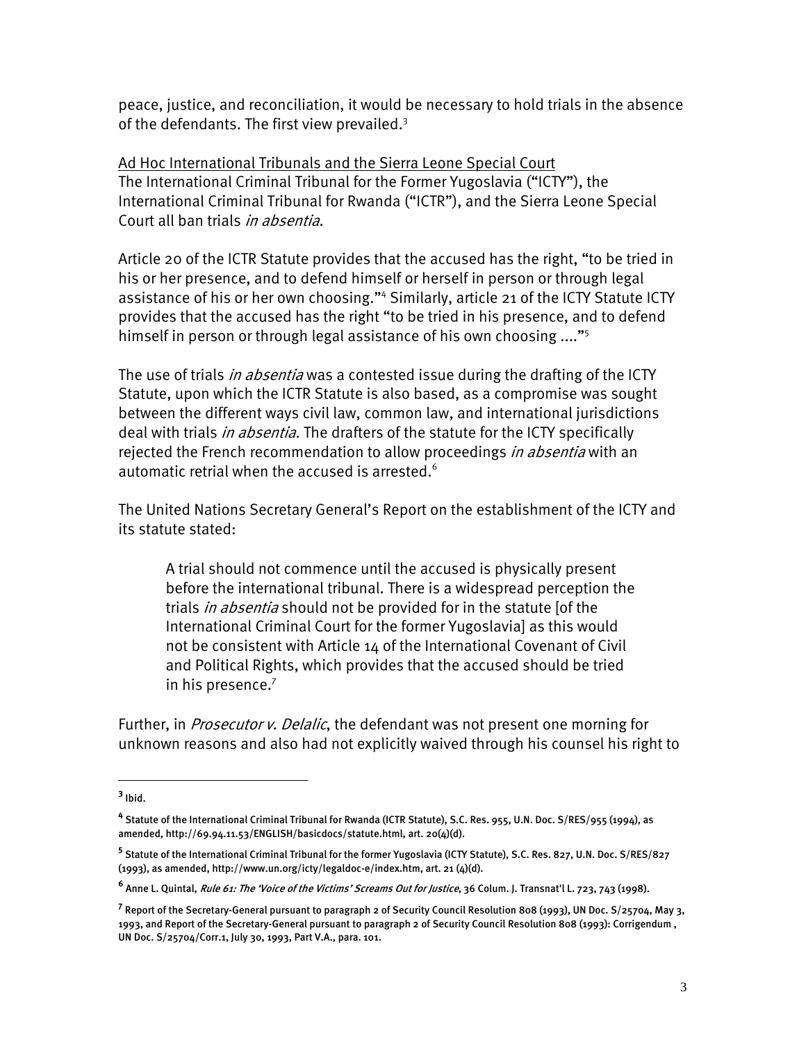peace, justice, and reconciliation, it would be necessary to hold trials in the absence of the defendants. The first view prevailed. $3$ 

Ad Hoc International Tribunals and the Sierra Leone Special Court The International Criminal Tribunal for the Former Yugoslavia ("ICTY"), the International Criminal Tribunal for Rwanda ("ICTR"), and the Sierra Leone Special Court all ban trials in absentia.

Article 20 of the ICTR Statute provides that the accused has the right, "to be tried in his or her presence, and to defend himself or herself in person or through legal assistance of his or her own choosing."<sup>4</sup> Similarly, article 21 of the ICTY Statute ICTY provides that the accused has the right "to be tried in his presence, and to defend himself in person or through legal assistance of his own choosing ...."<sup>5</sup>

The use of trials *in absentia* was a contested issue during the drafting of the ICTY Statute, upon which the ICTR Statute is also based, as a compromise was sought between the different ways civil law, common law, and international jurisdictions deal with trials *in absentia*. The drafters of the statute for the ICTY specifically rejected the French recommendation to allow proceedings *in absentia* with an automatic retrial when the accused is arrested.<sup>6</sup>

The United Nations Secretary General's Report on the establishment of the ICTY and its statute stated:

A trial should not commence until the accused is physically present before the international tribunal. There is a widespread perception the trials *in absentia* should not be provided for in the statute [of the International Criminal Court for the former Yugoslavia] as this would not be consistent with Article 14 of the International Covenant of Civil and Political Rights, which provides that the accused should be tried in his presence.<sup>7</sup>

Further, in *Prosecutor v. Delalic*, the defendant was not present one morning for unknown reasons and also had not explicitly waived through his counsel his right to

1

**<sup>3</sup>** Ibid.

**<sup>4</sup>** Statute of the International Criminal Tribunal for Rwanda (ICTR Statute), S.C. Res. 955, U.N. Doc. S/RES/955 (1994), as amended, http://69.94.11.53/ENGLISH/basicdocs/statute.html, art. 20(4)(d).

**<sup>5</sup>** Statute of the International Criminal Tribunal for the former Yugoslavia (ICTY Statute), S.C. Res. 827, U.N. Doc. S/RES/827 (1993), as amended, http://www.un.org/icty/legaldoc-e/index.htm, art. 21 (4)(d).

**<sup>6</sup>** Anne L. Quintal, Rule 61: The 'Voice of the Victims' Screams Out for Justice, 36 Colum. J. Transnat'l L. 723, 743 (1998).

**<sup>7</sup>** Report of the Secretary-General pursuant to paragraph 2 of Security Council Resolution 808 (1993), UN Doc. S/25704, May 3, 1993, and Report of the Secretary-General pursuant to paragraph 2 of Security Council Resolution 808 (1993): Corrigendum , UN Doc. S/25704/Corr.1, July 30, 1993, Part V.A., para. 101.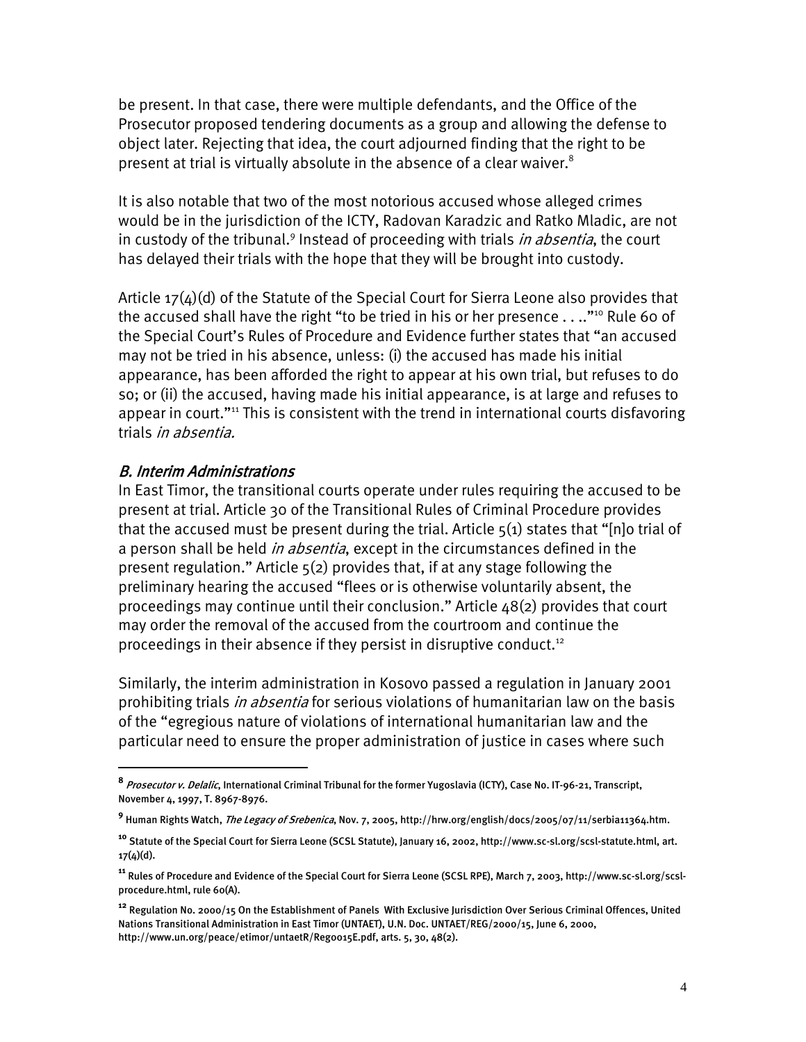be present. In that case, there were multiple defendants, and the Office of the Prosecutor proposed tendering documents as a group and allowing the defense to object later. Rejecting that idea, the court adjourned finding that the right to be present at trial is virtually absolute in the absence of a clear waiver.<sup>8</sup>

It is also notable that two of the most notorious accused whose alleged crimes would be in the jurisdiction of the ICTY, Radovan Karadzic and Ratko Mladic, are not in custody of the tribunal.<sup>9</sup> Instead of proceeding with trials *in absentia*, the court has delayed their trials with the hope that they will be brought into custody.

Article  $17(4)(d)$  of the Statute of the Special Court for Sierra Leone also provides that the accused shall have the right "to be tried in his or her presence  $\dots$ "<sup>10</sup> Rule 60 of the Special Court's Rules of Procedure and Evidence further states that "an accused may not be tried in his absence, unless: (i) the accused has made his initial appearance, has been afforded the right to appear at his own trial, but refuses to do so; or (ii) the accused, having made his initial appearance, is at large and refuses to appear in court."<sup>11</sup> This is consistent with the trend in international courts disfavoring trials *in absentia.* 

# B. Interim Administrations

 $\overline{a}$ 

In East Timor, the transitional courts operate under rules requiring the accused to be present at trial. Article 30 of the Transitional Rules of Criminal Procedure provides that the accused must be present during the trial. Article  $5(1)$  states that "[n]o trial of a person shall be held *in absentia*, except in the circumstances defined in the present regulation." Article 5(2) provides that, if at any stage following the preliminary hearing the accused "flees or is otherwise voluntarily absent, the proceedings may continue until their conclusion." Article 48(2) provides that court may order the removal of the accused from the courtroom and continue the proceedings in their absence if they persist in disruptive conduct.<sup>12</sup>

Similarly, the interim administration in Kosovo passed a regulation in January 2001 prohibiting trials *in absentia* for serious violations of humanitarian law on the basis of the "egregious nature of violations of international humanitarian law and the particular need to ensure the proper administration of justice in cases where such

**<sup>8</sup>** Prosecutor v. Delalic, International Criminal Tribunal for the former Yugoslavia (ICTY), Case No. IT-96-21, Transcript, November 4, 1997, T. 8967-8976.

**<sup>9</sup>** Human Rights Watch, The Legacy of Srebenica, Nov. 7, 2005, http://hrw.org/english/docs/2005/07/11/serbia11364.htm.

**<sup>10</sup>** Statute of the Special Court for Sierra Leone (SCSL Statute), January 16, 2002, http://www.sc-sl.org/scsl-statute.html, art. 17(4)(d).

**<sup>11</sup>** Rules of Procedure and Evidence of the Special Court for Sierra Leone (SCSL RPE), March 7, 2003, http://www.sc-sl.org/scslprocedure.html, rule 60(A).

**<sup>12</sup>** Regulation No. 2000/15 On the Establishment of Panels With Exclusive Jurisdiction Over Serious Criminal Offences, United Nations Transitional Administration in East Timor (UNTAET), U.N. Doc. UNTAET/REG/2000/15, June 6, 2000, http://www.un.org/peace/etimor/untaetR/Reg0015E.pdf, arts. 5, 30, 48(2).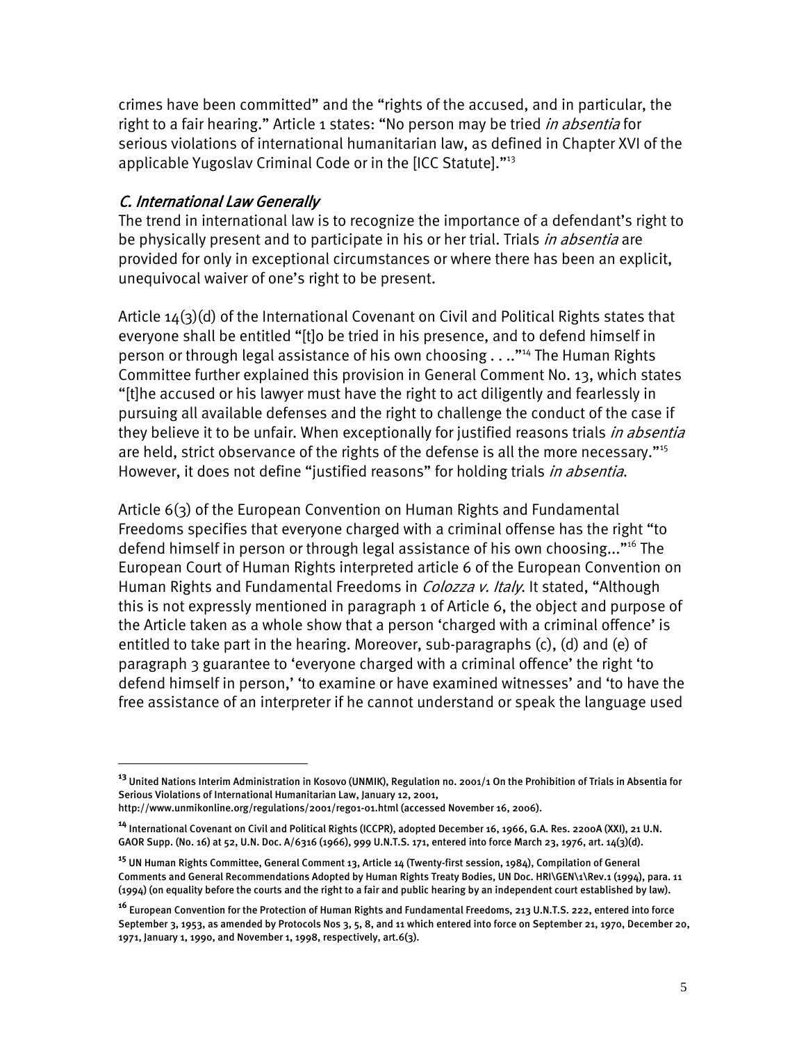crimes have been committed" and the "rights of the accused, and in particular, the right to a fair hearing." Article 1 states: "No person may be tried in absentia for serious violations of international humanitarian law, as defined in Chapter XVI of the applicable Yugoslav Criminal Code or in the [ICC Statute]."13

# C. International Law Generally

 $\overline{a}$ 

The trend in international law is to recognize the importance of a defendant's right to be physically present and to participate in his or her trial. Trials *in absentia* are provided for only in exceptional circumstances or where there has been an explicit, unequivocal waiver of one's right to be present.

Article 14(3)(d) of the International Covenant on Civil and Political Rights states that everyone shall be entitled "[t]o be tried in his presence, and to defend himself in person or through legal assistance of his own choosing . . .."14 The Human Rights Committee further explained this provision in General Comment No. 13, which states "[t]he accused or his lawyer must have the right to act diligently and fearlessly in pursuing all available defenses and the right to challenge the conduct of the case if they believe it to be unfair. When exceptionally for justified reasons trials *in absentia* are held, strict observance of the rights of the defense is all the more necessary."<sup>15</sup> However, it does not define "justified reasons" for holding trials *in absentia*.

Article 6(3) of the European Convention on Human Rights and Fundamental Freedoms specifies that everyone charged with a criminal offense has the right "to defend himself in person or through legal assistance of his own choosing..."<sup>16</sup> The European Court of Human Rights interpreted article 6 of the European Convention on Human Rights and Fundamental Freedoms in *Colozza v. Italy*. It stated, "Although this is not expressly mentioned in paragraph 1 of Article 6, the object and purpose of the Article taken as a whole show that a person 'charged with a criminal offence' is entitled to take part in the hearing. Moreover, sub-paragraphs (c), (d) and (e) of paragraph 3 guarantee to 'everyone charged with a criminal offence' the right 'to defend himself in person,' 'to examine or have examined witnesses' and 'to have the free assistance of an interpreter if he cannot understand or speak the language used

**<sup>13</sup>** United Nations Interim Administration in Kosovo (UNMIK), Regulation no. 2001/1 On the Prohibition of Trials in Absentia for Serious Violations of International Humanitarian Law, January 12, 2001,

http://www.unmikonline.org/regulations/2001/reg01-01.html (accessed November 16, 2006).

**<sup>14</sup>** International Covenant on Civil and Political Rights (ICCPR), adopted December 16, 1966, G.A. Res. 2200A (XXI), 21 U.N. GAOR Supp. (No. 16) at 52, U.N. Doc. A/6316 (1966), 999 U.N.T.S. 171, entered into force March 23, 1976, art. 14(3)(d).

**<sup>15</sup>** UN Human Rights Committee, General Comment 13, Article 14 (Twenty-first session, 1984), Compilation of General Comments and General Recommendations Adopted by Human Rights Treaty Bodies, UN Doc. HRI\GEN\1\Rev.1 (1994), para. 11 (1994) (on equality before the courts and the right to a fair and public hearing by an independent court established by law).

**<sup>16</sup>** European Convention for the Protection of Human Rights and Fundamental Freedoms, 213 U.N.T.S. 222, entered into force September 3, 1953, as amended by Protocols Nos 3, 5, 8, and 11 which entered into force on September 21, 1970, December 20, 1971, January 1, 1990, and November 1, 1998, respectively, art.6(3).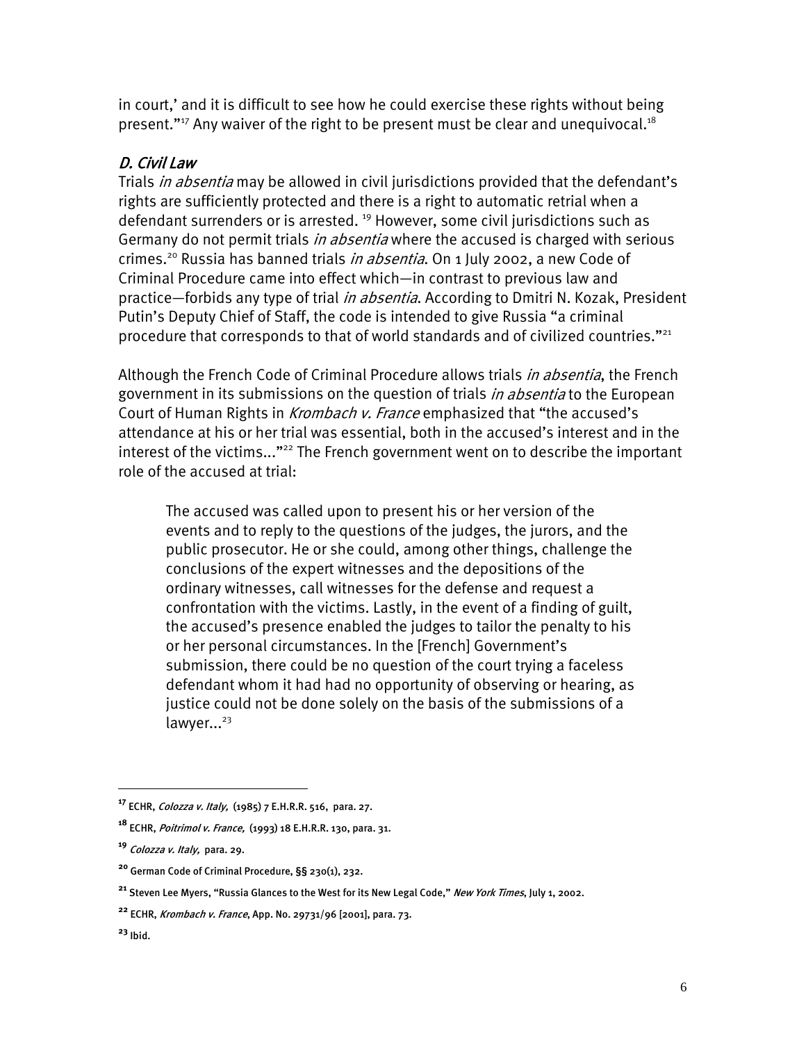in court,' and it is difficult to see how he could exercise these rights without being present."<sup>17</sup> Any waiver of the right to be present must be clear and unequivocal.<sup>18</sup>

# D. Civil Law

Trials *in absentia* may be allowed in civil jurisdictions provided that the defendant's rights are sufficiently protected and there is a right to automatic retrial when a defendant surrenders or is arrested.<sup>19</sup> However, some civil jurisdictions such as Germany do not permit trials *in absentia* where the accused is charged with serious crimes.<sup>20</sup> Russia has banned trials *in absentia*. On 1 July 2002, a new Code of Criminal Procedure came into effect which—in contrast to previous law and practice—forbids any type of trial *in absentia*. According to Dmitri N. Kozak, President Putin's Deputy Chief of Staff, the code is intended to give Russia "a criminal procedure that corresponds to that of world standards and of civilized countries."<sup>21</sup>

Although the French Code of Criminal Procedure allows trials *in absentia*, the French government in its submissions on the question of trials *in absentia* to the European Court of Human Rights in Krombach v. France emphasized that "the accused's attendance at his or her trial was essential, both in the accused's interest and in the interest of the victims..."<sup>22</sup> The French government went on to describe the important role of the accused at trial:

The accused was called upon to present his or her version of the events and to reply to the questions of the judges, the jurors, and the public prosecutor. He or she could, among other things, challenge the conclusions of the expert witnesses and the depositions of the ordinary witnesses, call witnesses for the defense and request a confrontation with the victims. Lastly, in the event of a finding of guilt, the accused's presence enabled the judges to tailor the penalty to his or her personal circumstances. In the [French] Government's submission, there could be no question of the court trying a faceless defendant whom it had had no opportunity of observing or hearing, as justice could not be done solely on the basis of the submissions of a  $lawyer...^{23}$ 

**<sup>17</sup>** ECHR, Colozza v. Italy, (1985) 7 E.H.R.R. 516, para. 27.

**<sup>18</sup>** ECHR, Poitrimol v. France, (1993) 18 E.H.R.R. 130, para. 31.

**<sup>19</sup>** Colozza v. Italy, para. 29.

**<sup>20</sup>** German Code of Criminal Procedure, §§ 230(1), 232.

<sup>&</sup>lt;sup>21</sup> Steven Lee Myers, "Russia Glances to the West for its New Legal Code," New York Times, July 1, 2002.

**<sup>22</sup>** ECHR, Krombach v. France, App. No. 29731/96 [2001], para. 73.

**<sup>23</sup>** Ibid.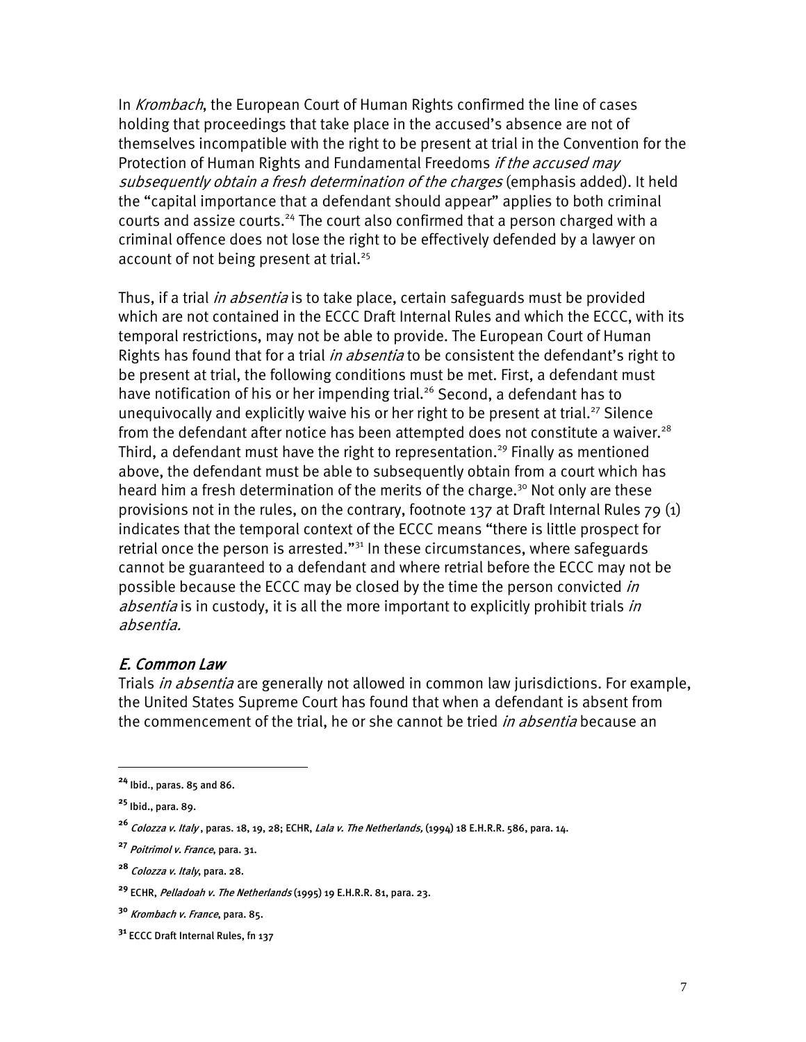In Krombach, the European Court of Human Rights confirmed the line of cases holding that proceedings that take place in the accused's absence are not of themselves incompatible with the right to be present at trial in the Convention for the Protection of Human Rights and Fundamental Freedoms *if the accused mav* subsequently obtain a fresh determination of the charges (emphasis added). It held the "capital importance that a defendant should appear" applies to both criminal courts and assize courts.<sup>24</sup> The court also confirmed that a person charged with a criminal offence does not lose the right to be effectively defended by a lawyer on account of not being present at trial.<sup>25</sup>

Thus, if a trial *in absentia* is to take place, certain safeguards must be provided which are not contained in the ECCC Draft Internal Rules and which the ECCC, with its temporal restrictions, may not be able to provide. The European Court of Human Rights has found that for a trial *in absentia* to be consistent the defendant's right to be present at trial, the following conditions must be met. First, a defendant must have notification of his or her impending trial.<sup>26</sup> Second, a defendant has to unequivocally and explicitly waive his or her right to be present at trial.<sup>27</sup> Silence from the defendant after notice has been attempted does not constitute a waiver.<sup>28</sup> Third, a defendant must have the right to representation.<sup>29</sup> Finally as mentioned above, the defendant must be able to subsequently obtain from a court which has heard him a fresh determination of the merits of the charge.<sup>30</sup> Not only are these provisions not in the rules, on the contrary, footnote 137 at Draft Internal Rules 79 (1) indicates that the temporal context of the ECCC means "there is little prospect for retrial once the person is arrested."<sup>31</sup> In these circumstances, where safeguards cannot be guaranteed to a defendant and where retrial before the ECCC may not be possible because the ECCC may be closed by the time the person convicted *in absentia* is in custody, it is all the more important to explicitly prohibit trials *in* absentia.

# E. Common Law

Trials *in absentia* are generally not allowed in common law jurisdictions. For example, the United States Supreme Court has found that when a defendant is absent from the commencement of the trial, he or she cannot be tried *in absentia* because an

**<sup>24</sup>** Ibid., paras. 85 and 86.

**<sup>25</sup>** Ibid., para. 89.

**<sup>26</sup>** Colozza v. Italy , paras. 18, 19, 28; ECHR, Lala v. The Netherlands, (1994) 18 E.H.R.R. 586, para. 14.

**<sup>27</sup>** Poitrimol v. France, para. 31.

**<sup>28</sup>** Colozza v. Italy, para. 28.

**<sup>29</sup>** ECHR, Pelladoah v. The Netherlands (1995) 19 E.H.R.R. 81, para. 23.

**<sup>30</sup>** Krombach v. France, para. 85.

**<sup>31</sup>** ECCC Draft Internal Rules, fn 137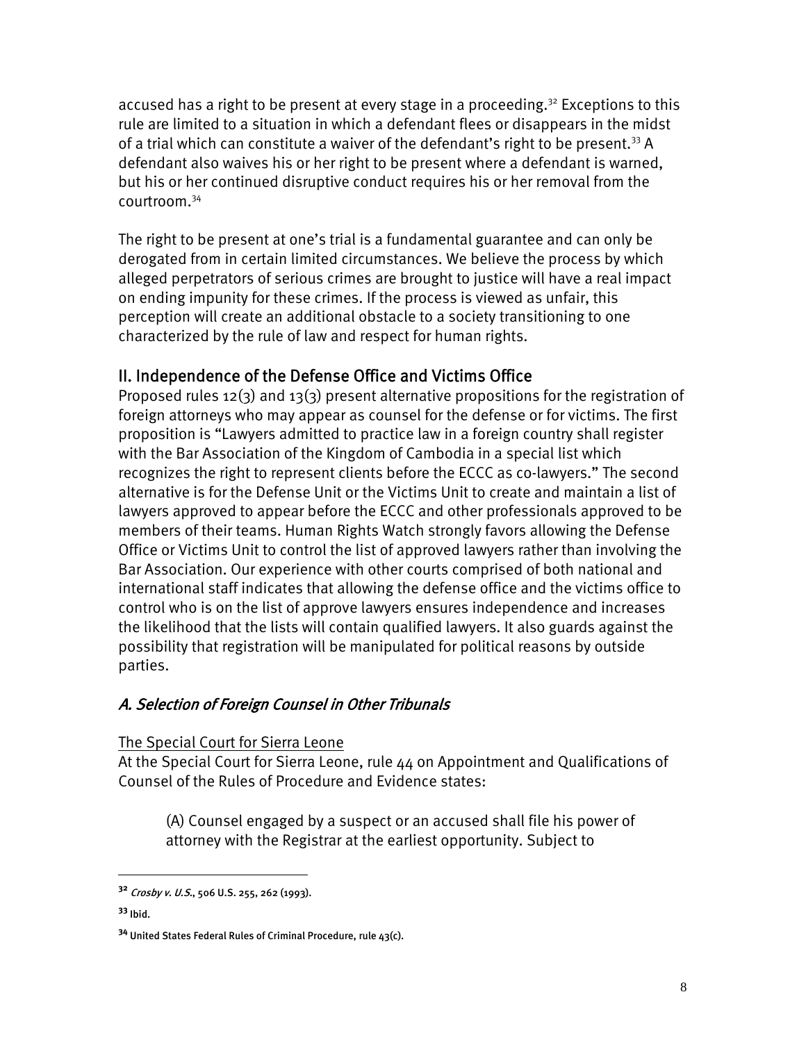accused has a right to be present at every stage in a proceeding.<sup>32</sup> Exceptions to this rule are limited to a situation in which a defendant flees or disappears in the midst of a trial which can constitute a waiver of the defendant's right to be present.<sup>33</sup> A defendant also waives his or her right to be present where a defendant is warned, but his or her continued disruptive conduct requires his or her removal from the courtroom.34

The right to be present at one's trial is a fundamental guarantee and can only be derogated from in certain limited circumstances. We believe the process by which alleged perpetrators of serious crimes are brought to justice will have a real impact on ending impunity for these crimes. If the process is viewed as unfair, this perception will create an additional obstacle to a society transitioning to one characterized by the rule of law and respect for human rights.

# II. Independence of the Defense Office and Victims Office

Proposed rules 12(3) and 13(3) present alternative propositions for the registration of foreign attorneys who may appear as counsel for the defense or for victims. The first proposition is "Lawyers admitted to practice law in a foreign country shall register with the Bar Association of the Kingdom of Cambodia in a special list which recognizes the right to represent clients before the ECCC as co-lawyers." The second alternative is for the Defense Unit or the Victims Unit to create and maintain a list of lawyers approved to appear before the ECCC and other professionals approved to be members of their teams. Human Rights Watch strongly favors allowing the Defense Office or Victims Unit to control the list of approved lawyers rather than involving the Bar Association. Our experience with other courts comprised of both national and international staff indicates that allowing the defense office and the victims office to control who is on the list of approve lawyers ensures independence and increases the likelihood that the lists will contain qualified lawyers. It also guards against the possibility that registration will be manipulated for political reasons by outside parties.

# A. Selection of Foreign Counsel in Other Tribunals

The Special Court for Sierra Leone

At the Special Court for Sierra Leone, rule 44 on Appointment and Qualifications of Counsel of the Rules of Procedure and Evidence states:

(A) Counsel engaged by a suspect or an accused shall file his power of attorney with the Registrar at the earliest opportunity. Subject to

1

**<sup>32</sup>** Crosby v. U.S., 506 U.S. 255, 262 (1993).

**<sup>33</sup>** Ibid.

**<sup>34</sup>** United States Federal Rules of Criminal Procedure, rule 43(c).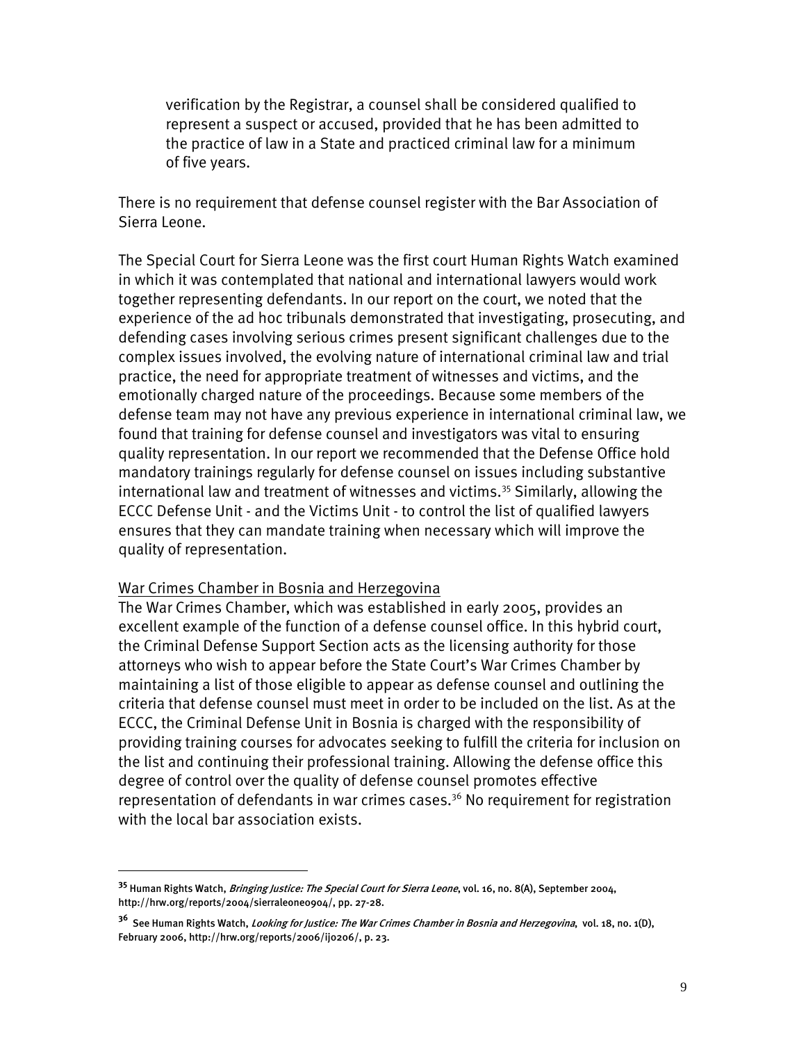verification by the Registrar, a counsel shall be considered qualified to represent a suspect or accused, provided that he has been admitted to the practice of law in a State and practiced criminal law for a minimum of five years.

There is no requirement that defense counsel register with the Bar Association of Sierra Leone.

The Special Court for Sierra Leone was the first court Human Rights Watch examined in which it was contemplated that national and international lawyers would work together representing defendants. In our report on the court, we noted that the experience of the ad hoc tribunals demonstrated that investigating, prosecuting, and defending cases involving serious crimes present significant challenges due to the complex issues involved, the evolving nature of international criminal law and trial practice, the need for appropriate treatment of witnesses and victims, and the emotionally charged nature of the proceedings. Because some members of the defense team may not have any previous experience in international criminal law, we found that training for defense counsel and investigators was vital to ensuring quality representation. In our report we recommended that the Defense Office hold mandatory trainings regularly for defense counsel on issues including substantive international law and treatment of witnesses and victims.<sup>35</sup> Similarly, allowing the ECCC Defense Unit - and the Victims Unit - to control the list of qualified lawyers ensures that they can mandate training when necessary which will improve the quality of representation.

### War Crimes Chamber in Bosnia and Herzegovina

<u>.</u>

The War Crimes Chamber, which was established in early 2005, provides an excellent example of the function of a defense counsel office. In this hybrid court, the Criminal Defense Support Section acts as the licensing authority for those attorneys who wish to appear before the State Court's War Crimes Chamber by maintaining a list of those eligible to appear as defense counsel and outlining the criteria that defense counsel must meet in order to be included on the list. As at the ECCC, the Criminal Defense Unit in Bosnia is charged with the responsibility of providing training courses for advocates seeking to fulfill the criteria for inclusion on the list and continuing their professional training. Allowing the defense office this degree of control over the quality of defense counsel promotes effective representation of defendants in war crimes cases.<sup>36</sup> No requirement for registration with the local bar association exists.

**<sup>35</sup>** Human Rights Watch, Bringing Justice: The Special Court for Sierra Leone, vol. 16, no. 8(A), September 2004, http://hrw.org/reports/2004/sierraleone0904/, pp. 27-28.

**<sup>36</sup>** See Human Rights Watch, Looking for Justice: The War Crimes Chamber in Bosnia and Herzegovina, vol. 18, no. 1(D), February 2006, http://hrw.org/reports/2006/ij0206/, p. 23.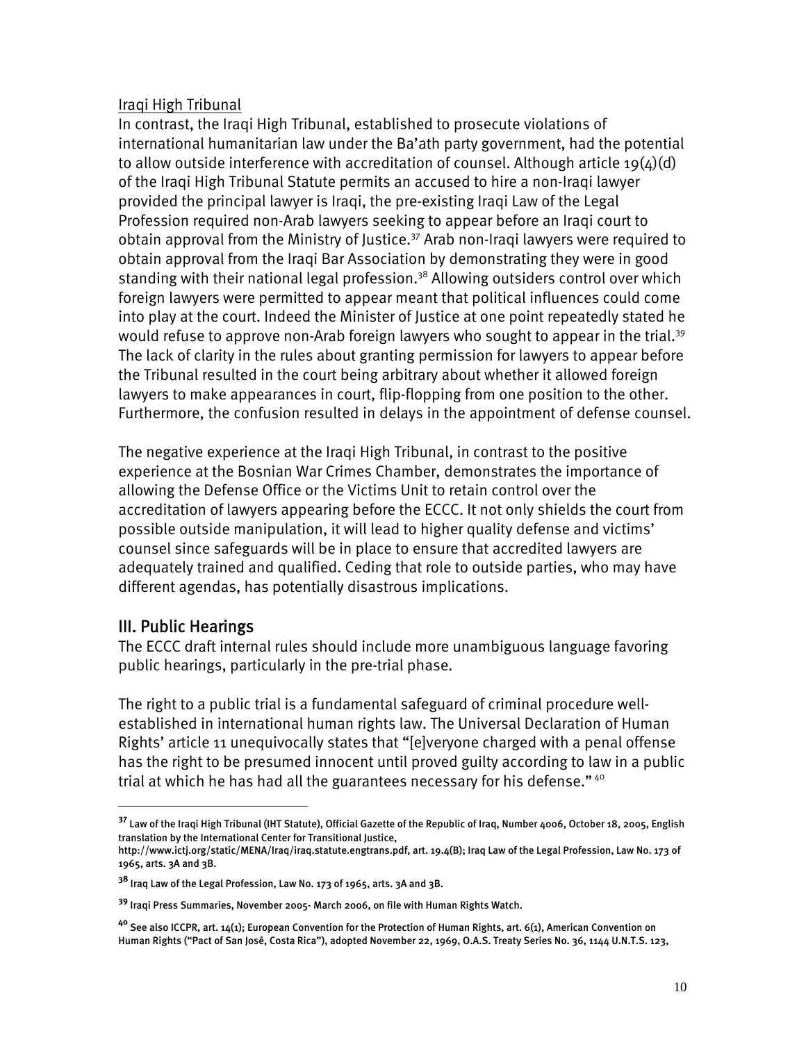## Iraqi High Tribunal

In contrast, the Iraqi High Tribunal, established to prosecute violations of international humanitarian law under the Ba'ath party government, had the potential to allow outside interference with accreditation of counsel. Although article 19( $\mu$ )(d) of the Iraqi High Tribunal Statute permits an accused to hire a non-Iraqi lawyer provided the principal lawyer is Iraqi, the pre-existing Iraqi Law of the Legal Profession required non-Arab lawyers seeking to appear before an Iraqi court to obtain approval from the Ministry of Justice.<sup>37</sup> Arab non-Iragi lawyers were required to obtain approval from the Iraqi Bar Association by demonstrating they were in good standing with their national legal profession.<sup>38</sup> Allowing outsiders control over which foreign lawyers were permitted to appear meant that political influences could come into play at the court. Indeed the Minister of Justice at one point repeatedly stated he would refuse to approve non-Arab foreign lawyers who sought to appear in the trial.<sup>39</sup> The lack of clarity in the rules about granting permission for lawyers to appear before the Tribunal resulted in the court being arbitrary about whether it allowed foreign lawyers to make appearances in court, flip-flopping from one position to the other. Furthermore, the confusion resulted in delays in the appointment of defense counsel.

The negative experience at the Iraqi High Tribunal, in contrast to the positive experience at the Bosnian War Crimes Chamber, demonstrates the importance of allowing the Defense Office or the Victims Unit to retain control over the accreditation of lawyers appearing before the ECCC. It not only shields the court from possible outside manipulation, it will lead to higher quality defense and victims' counsel since safeguards will be in place to ensure that accredited lawyers are adequately trained and qualified. Ceding that role to outside parties, who may have different agendas, has potentially disastrous implications.

# III. Public Hearings

 $\overline{a}$ 

The ECCC draft internal rules should include more unambiguous language favoring public hearings, particularly in the pre-trial phase.

The right to a public trial is a fundamental safeguard of criminal procedure wellestablished in international human rights law. The Universal Declaration of Human Rights' article 11 unequivocally states that "[e]veryone charged with a penal offense has the right to be presumed innocent until proved guilty according to law in a public trial at which he has had all the guarantees necessary for his defense."<sup>40</sup>

**<sup>37</sup>** Law of the Iraqi High Tribunal (IHT Statute), Official Gazette of the Republic of Iraq, Number 4006, October 18, 2005, English translation by the International Center for Transitional Justice,

http://www.ictj.org/static/MENA/Iraq/iraq.statute.engtrans.pdf, art. 19.4(B); Iraq Law of the Legal Profession, Law No. 173 of 1965, arts. 3A and 3B.

**<sup>38</sup>** Iraq Law of the Legal Profession, Law No. 173 of 1965, arts. 3A and 3B.

**<sup>39</sup>** Iraqi Press Summaries, November 2005- March 2006, on file with Human Rights Watch.

**<sup>40</sup>** See also ICCPR, art. 14(1); European Convention for the Protection of Human Rights, art. 6(1), American Convention on Human Rights ("Pact of San José, Costa Rica"), adopted November 22, 1969, O.A.S. Treaty Series No. 36, 1144 U.N.T.S. 123,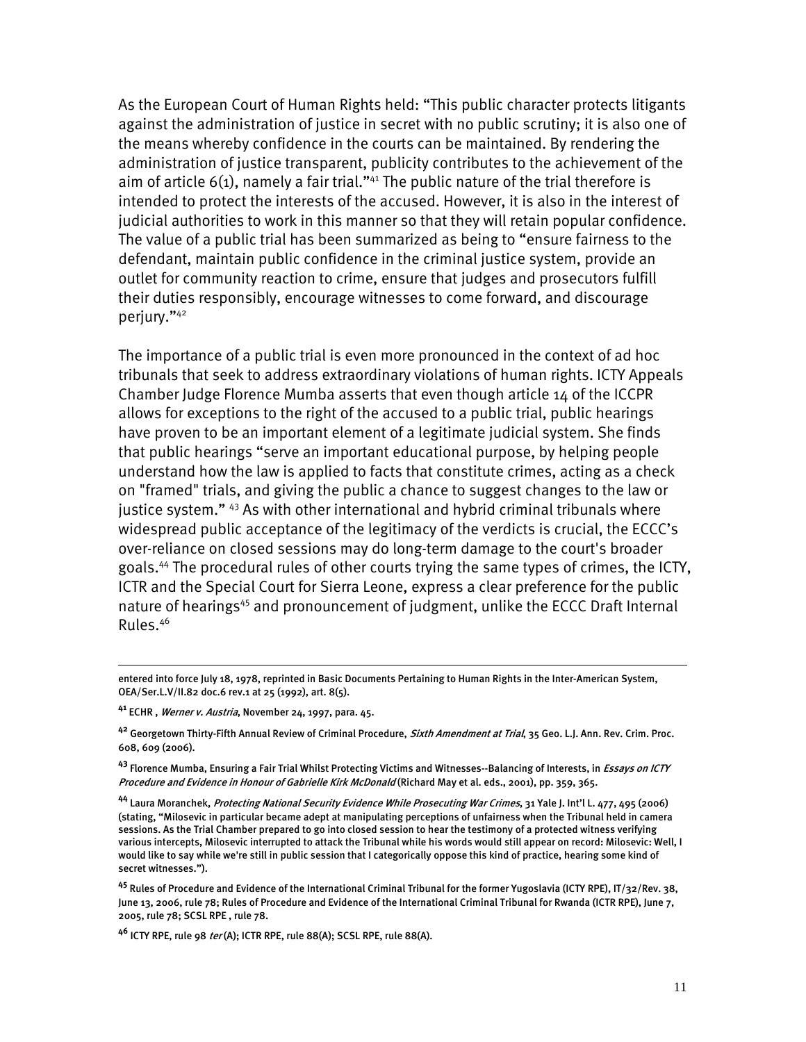As the European Court of Human Rights held: "This public character protects litigants against the administration of justice in secret with no public scrutiny; it is also one of the means whereby confidence in the courts can be maintained. By rendering the administration of justice transparent, publicity contributes to the achievement of the aim of article  $6(1)$ , namely a fair trial."<sup>41</sup> The public nature of the trial therefore is intended to protect the interests of the accused. However, it is also in the interest of judicial authorities to work in this manner so that they will retain popular confidence. The value of a public trial has been summarized as being to "ensure fairness to the defendant, maintain public confidence in the criminal justice system, provide an outlet for community reaction to crime, ensure that judges and prosecutors fulfill their duties responsibly, encourage witnesses to come forward, and discourage perjury."42

The importance of a public trial is even more pronounced in the context of ad hoc tribunals that seek to address extraordinary violations of human rights. ICTY Appeals Chamber Judge Florence Mumba asserts that even though article 14 of the ICCPR allows for exceptions to the right of the accused to a public trial, public hearings have proven to be an important element of a legitimate judicial system. She finds that public hearings "serve an important educational purpose, by helping people understand how the law is applied to facts that constitute crimes, acting as a check on "framed" trials, and giving the public a chance to suggest changes to the law or justice system."<sup>43</sup> As with other international and hybrid criminal tribunals where widespread public acceptance of the legitimacy of the verdicts is crucial, the ECCC's over-reliance on closed sessions may do long-term damage to the court's broader goals.44 The procedural rules of other courts trying the same types of crimes, the ICTY, ICTR and the Special Court for Sierra Leone, express a clear preference for the public nature of hearings<sup>45</sup> and pronouncement of judgment, unlike the ECCC Draft Internal Rules.46

**<sup>41</sup>** ECHR , Werner v. Austria, November 24, 1997, para. 45.

 $\overline{a}$ 

**<sup>42</sup>** Georgetown Thirty-Fifth Annual Review of Criminal Procedure, Sixth Amendment at Trial, 35 Geo. L.J. Ann. Rev. Crim. Proc. 608, 609 (2006).

**<sup>43</sup>** Florence Mumba, Ensuring a Fair Trial Whilst Protecting Victims and Witnesses--Balancing of Interests, in Essays on ICTY Procedure and Evidence in Honour of Gabrielle Kirk McDonald (Richard May et al. eds., 2001), pp. 359, 365.

**<sup>44</sup>** Laura Moranchek, Protecting National Security Evidence While Prosecuting War Crimes, 31 Yale J. Int'l L. 477, 495 (2006) (stating, "Milosevic in particular became adept at manipulating perceptions of unfairness when the Tribunal held in camera sessions. As the Trial Chamber prepared to go into closed session to hear the testimony of a protected witness verifying various intercepts, Milosevic interrupted to attack the Tribunal while his words would still appear on record: Milosevic: Well, I would like to say while we're still in public session that I categorically oppose this kind of practice, hearing some kind of secret witnesses.").

**<sup>45</sup>** Rules of Procedure and Evidence of the International Criminal Tribunal for the former Yugoslavia (ICTY RPE), IT/32/Rev. 38, June 13, 2006, rule 78; Rules of Procedure and Evidence of the International Criminal Tribunal for Rwanda (ICTR RPE), June 7, 2005, rule 78; SCSL RPE , rule 78.

**<sup>46</sup>** ICTY RPE, rule 98 ter (A); ICTR RPE, rule 88(A); SCSL RPE, rule 88(A).

entered into force July 18, 1978, reprinted in Basic Documents Pertaining to Human Rights in the Inter-American System, OEA/Ser.L.V/II.82 doc.6 rev.1 at 25 (1992), art. 8(5).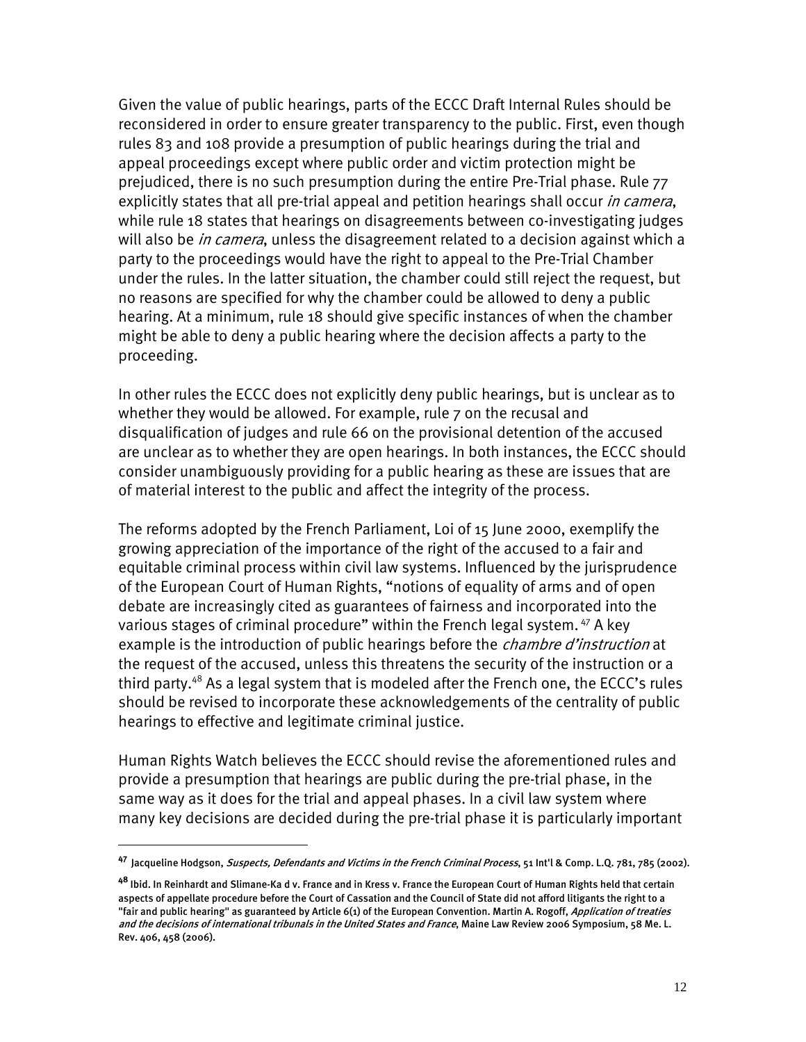Given the value of public hearings, parts of the ECCC Draft Internal Rules should be reconsidered in order to ensure greater transparency to the public. First, even though rules 83 and 108 provide a presumption of public hearings during the trial and appeal proceedings except where public order and victim protection might be prejudiced, there is no such presumption during the entire Pre-Trial phase. Rule 77 explicitly states that all pre-trial appeal and petition hearings shall occur in camera, while rule 18 states that hearings on disagreements between co-investigating judges will also be *in camera*, unless the disagreement related to a decision against which a party to the proceedings would have the right to appeal to the Pre-Trial Chamber under the rules. In the latter situation, the chamber could still reject the request, but no reasons are specified for why the chamber could be allowed to deny a public hearing. At a minimum, rule 18 should give specific instances of when the chamber might be able to deny a public hearing where the decision affects a party to the proceeding.

In other rules the ECCC does not explicitly deny public hearings, but is unclear as to whether they would be allowed. For example, rule 7 on the recusal and disqualification of judges and rule 66 on the provisional detention of the accused are unclear as to whether they are open hearings. In both instances, the ECCC should consider unambiguously providing for a public hearing as these are issues that are of material interest to the public and affect the integrity of the process.

The reforms adopted by the French Parliament, Loi of 15 June 2000, exemplify the growing appreciation of the importance of the right of the accused to a fair and equitable criminal process within civil law systems. Influenced by the jurisprudence of the European Court of Human Rights, "notions of equality of arms and of open debate are increasingly cited as guarantees of fairness and incorporated into the various stages of criminal procedure" within the French legal system.<sup>47</sup> A key example is the introduction of public hearings before the *chambre d'instruction* at the request of the accused, unless this threatens the security of the instruction or a third party.<sup>48</sup> As a legal system that is modeled after the French one, the ECCC's rules should be revised to incorporate these acknowledgements of the centrality of public hearings to effective and legitimate criminal justice.

Human Rights Watch believes the ECCC should revise the aforementioned rules and provide a presumption that hearings are public during the pre-trial phase, in the same way as it does for the trial and appeal phases. In a civil law system where many key decisions are decided during the pre-trial phase it is particularly important

**<sup>47</sup>** Jacqueline Hodgson, Suspects, Defendants and Victims in the French Criminal Process, 51 Int'l & Comp. L.Q. 781, 785 (2002).

**<sup>48</sup>** Ibid. In Reinhardt and Slimane-Ka d v. France and in Kress v. France the European Court of Human Rights held that certain aspects of appellate procedure before the Court of Cassation and the Council of State did not afford litigants the right to a "fair and public hearing" as guaranteed by Article 6(1) of the European Convention. Martin A. Rogoff, *Application of treaties* and the decisions of international tribunals in the United States and France, Maine Law Review 2006 Symposium, 58 Me. L. Rev. 406, 458 (2006).